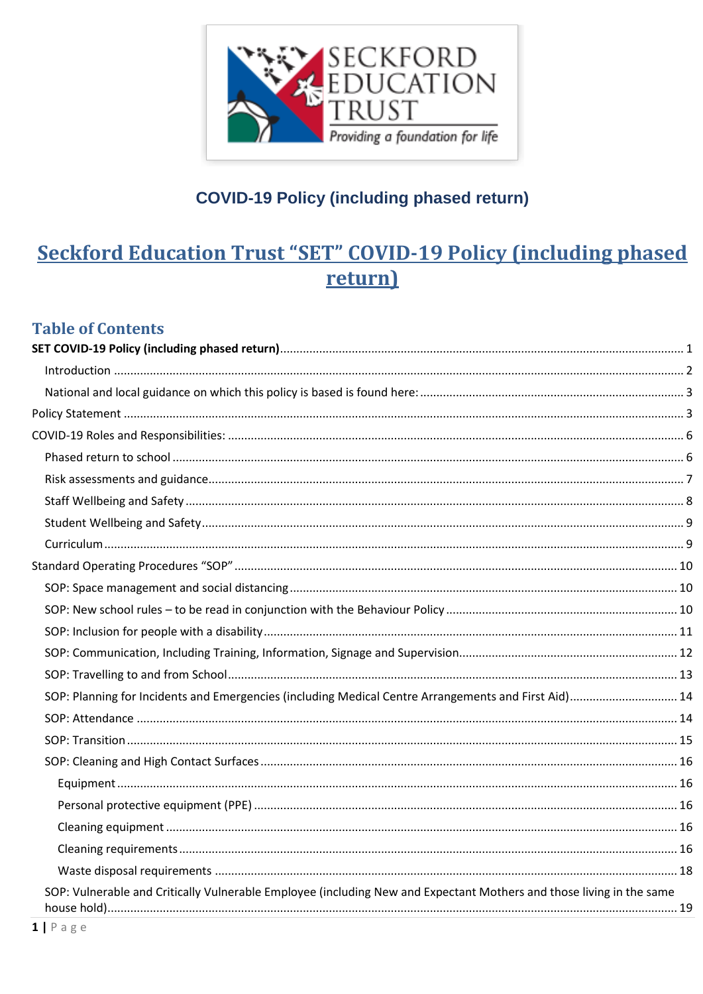

# <span id="page-0-0"></span>**Seckford Education Trust "SET" COVID-19 Policy (including phased)** return)

### **Table of Contents**

| SOP: Planning for Incidents and Emergencies (including Medical Centre Arrangements and First Aid) 14                 |  |
|----------------------------------------------------------------------------------------------------------------------|--|
|                                                                                                                      |  |
|                                                                                                                      |  |
|                                                                                                                      |  |
|                                                                                                                      |  |
|                                                                                                                      |  |
|                                                                                                                      |  |
|                                                                                                                      |  |
|                                                                                                                      |  |
| SOP: Vulnerable and Critically Vulnerable Employee (including New and Expectant Mothers and those living in the same |  |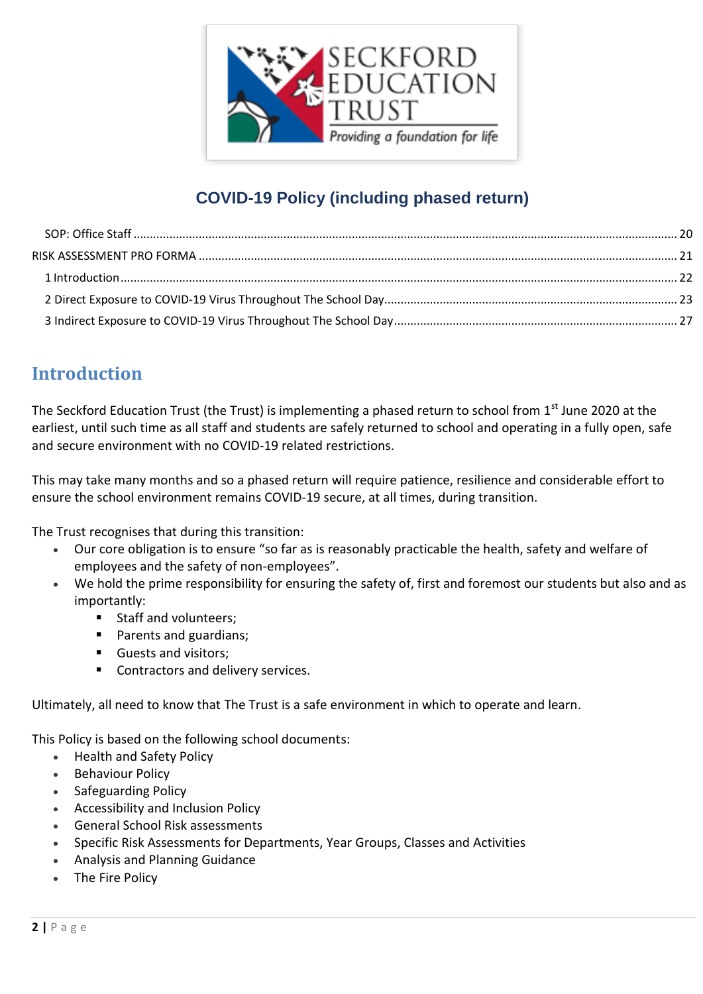

## <span id="page-1-0"></span>**Introduction**

The Seckford Education Trust (the Trust) is implementing a phased return to school from 1<sup>st</sup> June 2020 at the earliest, until such time as all staff and students are safely returned to school and operating in a fully open, safe and secure environment with no COVID-19 related restrictions.

This may take many months and so a phased return will require patience, resilience and considerable effort to ensure the school environment remains COVID-19 secure, at all times, during transition.

The Trust recognises that during this transition:

- Our core obligation is to ensure "so far as is reasonably practicable the health, safety and welfare of employees and the safety of non-employees".
- We hold the prime responsibility for ensuring the safety of, first and foremost our students but also and as importantly:
	- Staff and volunteers;
	- **Parents and guardians;**
	- Guests and visitors;
	- **Contractors and delivery services.**

Ultimately, all need to know that The Trust is a safe environment in which to operate and learn.

This Policy is based on the following school documents:

- Health and Safety Policy
- **•** Behaviour Policy
- Safeguarding Policy
- Accessibility and Inclusion Policy
- General School Risk assessments
- Specific Risk Assessments for Departments, Year Groups, Classes and Activities
- Analysis and Planning Guidance
- The Fire Policy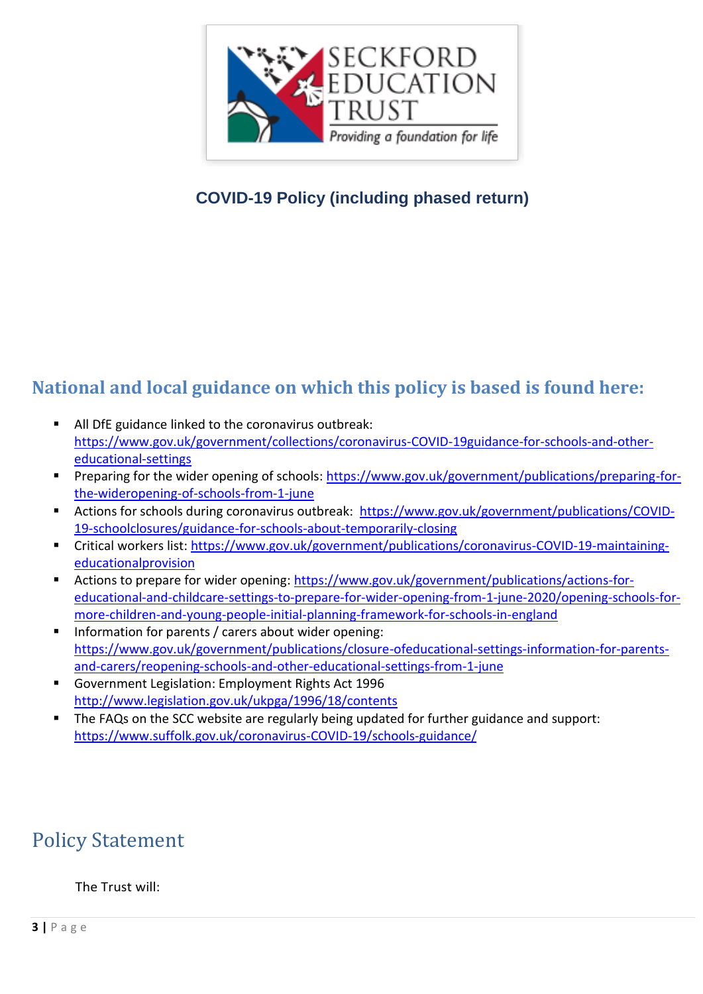

## <span id="page-2-0"></span>**National and local guidance on which this policy is based is found here:**

- All DfE guidance linked to the coronavirus outbreak: [https://www.gov.uk/government/collections/coronavirus-COVID-19guidance-for-schools-and-other](https://www.gov.uk/government/collections/coronavirus-covid-19guidance-for-schools-and-other-educational-settings)[educational-settings](https://www.gov.uk/government/collections/coronavirus-covid-19guidance-for-schools-and-other-educational-settings)
- **Preparing for the wider opening of schools: [https://www.gov.uk/government/publications/preparing-for](https://www.gov.uk/government/publications/preparing-for-the-wideropening-of-schools-from-1-june)**[the-wideropening-of-schools-from-1-june](https://www.gov.uk/government/publications/preparing-for-the-wideropening-of-schools-from-1-june)
- Actions for schools during coronavirus outbreak: [https://www.gov.uk/government/publications/COVID-](https://www.gov.uk/government/publications/covid-19-schoolclosures/guidance-for-schools-about-temporarily-closing)[19-schoolclosures/guidance-for-schools-about-temporarily-closing](https://www.gov.uk/government/publications/covid-19-schoolclosures/guidance-for-schools-about-temporarily-closing)
- Critical workers list[: https://www.gov.uk/government/publications/coronavirus-COVID-19-maintaining](https://www.gov.uk/government/publications/coronavirus-covid-19-maintaining-educationalprovision)[educationalprovision](https://www.gov.uk/government/publications/coronavirus-covid-19-maintaining-educationalprovision)
- Actions to prepare for wider opening: [https://www.gov.uk/government/publications/actions-for](https://www.gov.uk/government/publications/actions-for-educational-and-childcare-settings-to-prepare-for-wider-opening-from-1-june-2020/opening-schools-for-more-children-and-young-people-initial-planning-framework-for-schools-in-england)[educational-and-childcare-settings-to-prepare-for-wider-opening-from-1-june-2020/opening-schools-for](https://www.gov.uk/government/publications/actions-for-educational-and-childcare-settings-to-prepare-for-wider-opening-from-1-june-2020/opening-schools-for-more-children-and-young-people-initial-planning-framework-for-schools-in-england)[more-children-and-young-people-initial-planning-framework-for-schools-in-england](https://www.gov.uk/government/publications/actions-for-educational-and-childcare-settings-to-prepare-for-wider-opening-from-1-june-2020/opening-schools-for-more-children-and-young-people-initial-planning-framework-for-schools-in-england)
- **Information for parents / carers about wider opening:** [https://www.gov.uk/government/publications/closure-ofeducational-settings-information-for-parents](https://www.gov.uk/government/publications/closure-ofeducational-settings-information-for-parents-and-carers/reopening-schools-and-other-educational-settings-from-1-june)[and-carers/reopening-schools-and-other-educational-settings-from-1-june](https://www.gov.uk/government/publications/closure-ofeducational-settings-information-for-parents-and-carers/reopening-schools-and-other-educational-settings-from-1-june)
- Government Legislation: Employment Rights Act 1996 <http://www.legislation.gov.uk/ukpga/1996/18/contents>
- **The FAQs on the SCC website are regularly being updated for further guidance and support:** [https://www.suffolk.gov.uk/coronavirus-COVID-19/schools-guidance/](https://www.suffolk.gov.uk/coronavirus-covid-19/schools-guidance/)

# <span id="page-2-1"></span>Policy Statement

#### The Trust will: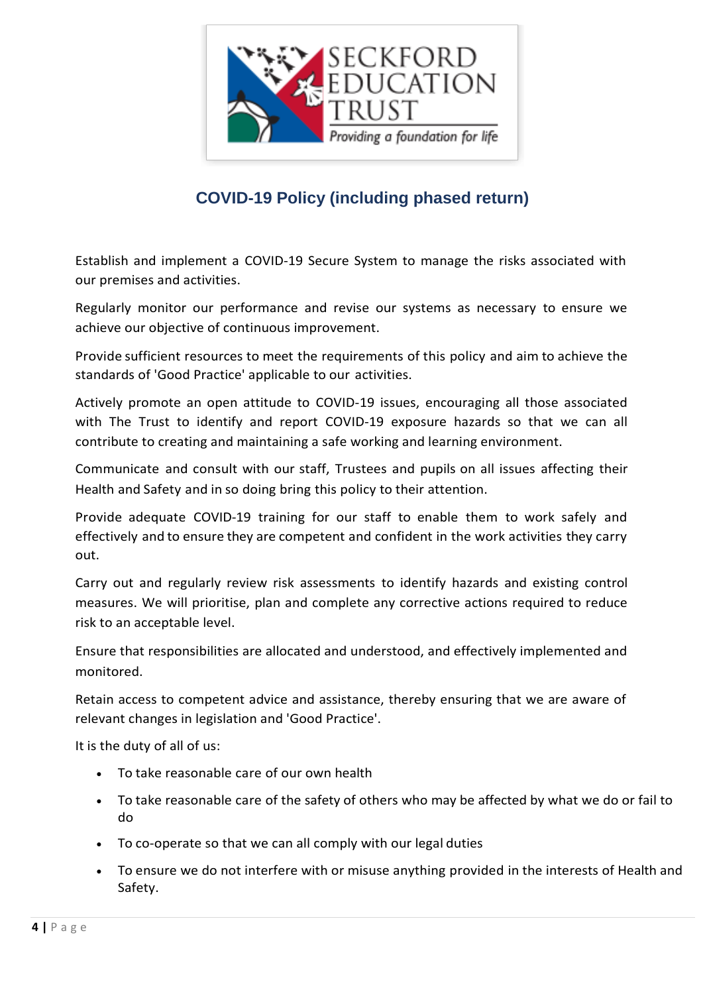

Establish and implement a COVID-19 Secure System to manage the risks associated with our premises and activities.

Regularly monitor our performance and revise our systems as necessary to ensure we achieve our objective of continuous improvement.

Provide sufficient resources to meet the requirements of this policy and aim to achieve the standards of 'Good Practice' applicable to our activities.

Actively promote an open attitude to COVID-19 issues, encouraging all those associated with The Trust to identify and report COVID-19 exposure hazards so that we can all contribute to creating and maintaining a safe working and learning environment.

Communicate and consult with our staff, Trustees and pupils on all issues affecting their Health and Safety and in so doing bring this policy to their attention.

Provide adequate COVID-19 training for our staff to enable them to work safely and effectively and to ensure they are competent and confident in the work activities they carry out.

Carry out and regularly review risk assessments to identify hazards and existing control measures. We will prioritise, plan and complete any corrective actions required to reduce risk to an acceptable level.

Ensure that responsibilities are allocated and understood, and effectively implemented and monitored.

Retain access to competent advice and assistance, thereby ensuring that we are aware of relevant changes in legislation and 'Good Practice'.

It is the duty of all of us:

- To take reasonable care of our own health
- To take reasonable care of the safety of others who may be affected by what we do or fail to do
- To co-operate so that we can all comply with our legal duties
- To ensure we do not interfere with or misuse anything provided in the interests of Health and Safety.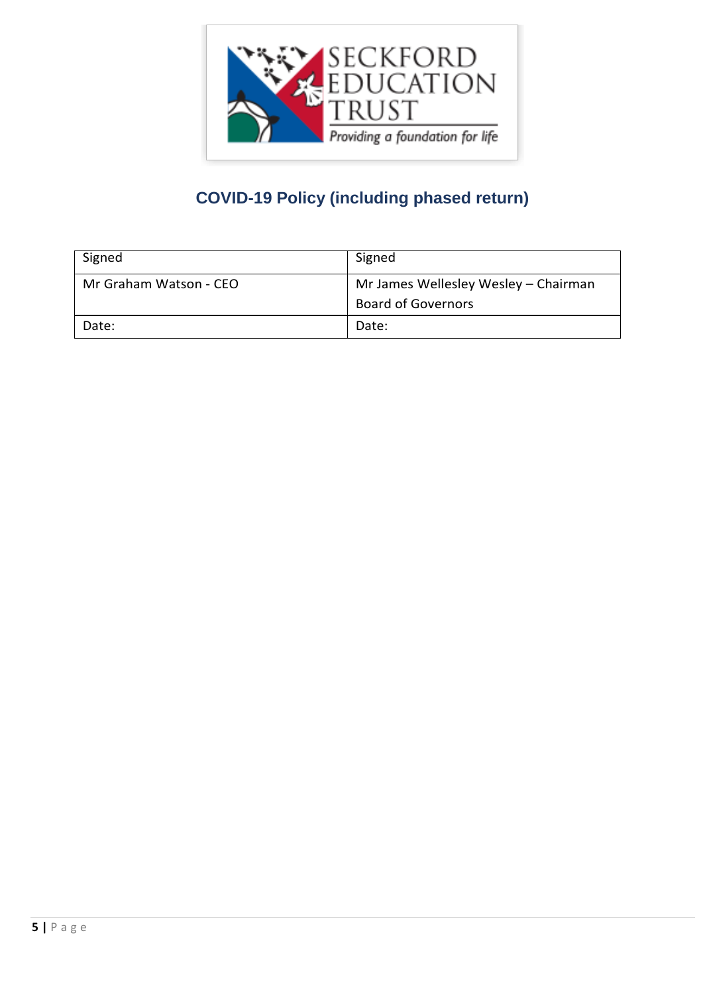

| Signed                 | Signed                                                            |
|------------------------|-------------------------------------------------------------------|
| Mr Graham Watson - CEO | Mr James Wellesley Wesley - Chairman<br><b>Board of Governors</b> |
| Date:                  | Date:                                                             |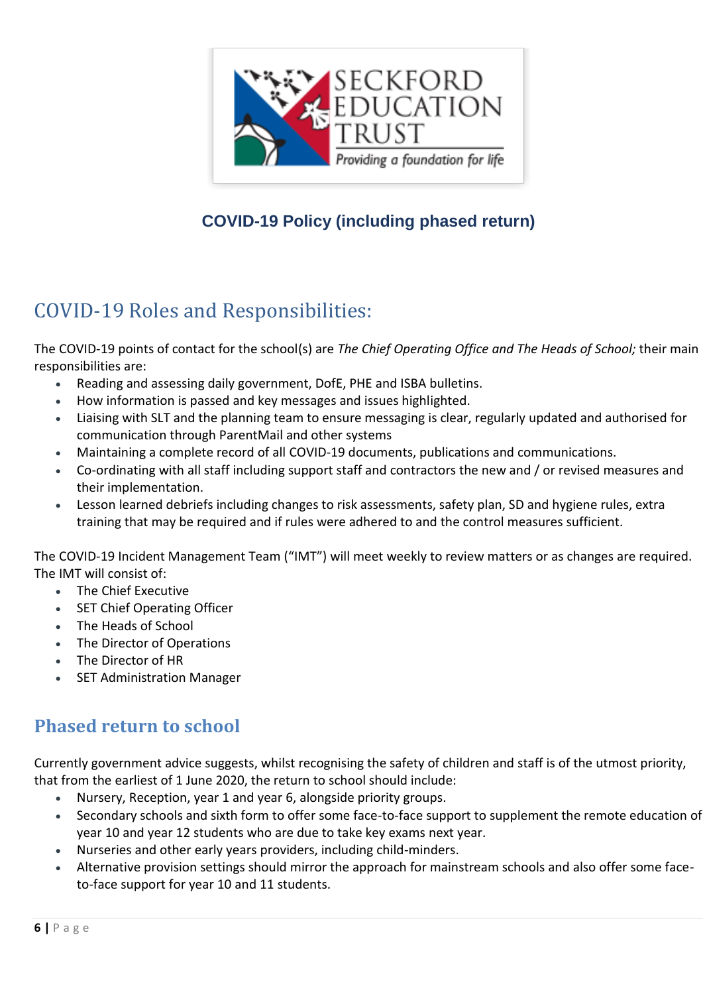

# <span id="page-5-0"></span>COVID-19 Roles and Responsibilities:

The COVID-19 points of contact for the school(s) are *The Chief Operating Office and The Heads of School;* their main responsibilities are:

- Reading and assessing daily government, DofE, PHE and ISBA bulletins.
- How information is passed and key messages and issues highlighted.
- Liaising with SLT and the planning team to ensure messaging is clear, regularly updated and authorised for communication through ParentMail and other systems
- Maintaining a complete record of all COVID-19 documents, publications and communications.
- Co-ordinating with all staff including support staff and contractors the new and / or revised measures and their implementation.
- Lesson learned debriefs including changes to risk assessments, safety plan, SD and hygiene rules, extra training that may be required and if rules were adhered to and the control measures sufficient.

The COVID-19 Incident Management Team ("IMT") will meet weekly to review matters or as changes are required. The IMT will consist of:

- The Chief Executive
- SET Chief Operating Officer
- The Heads of School
- The Director of Operations
- The Director of HR
- SET Administration Manager

## <span id="page-5-1"></span>**Phased return to school**

Currently government advice suggests, whilst recognising the safety of children and staff is of the utmost priority, that from the earliest of 1 June 2020, the return to school should include:

- Nursery, Reception, year 1 and year 6, alongside priority groups.
- Secondary schools and sixth form to offer some face-to-face support to supplement the remote education of year 10 and year 12 students who are due to take key exams next year.
- Nurseries and other early years providers, including child-minders.
- Alternative provision settings should mirror the approach for mainstream schools and also offer some faceto-face support for year 10 and 11 students.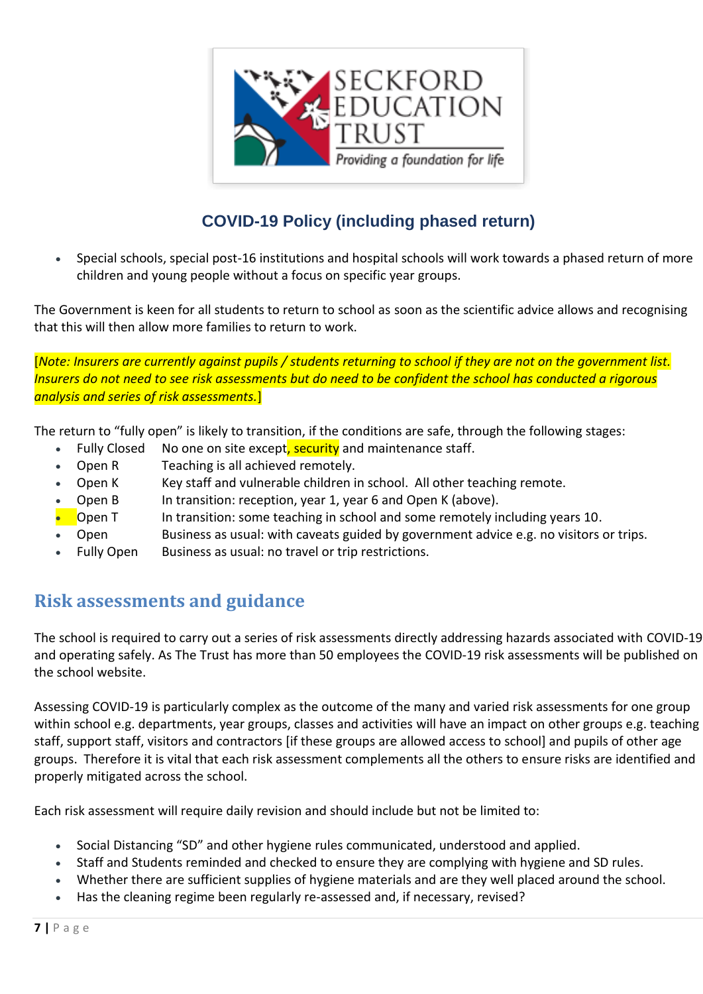

 Special schools, special post-16 institutions and hospital schools will work towards a phased return of more children and young people without a focus on specific year groups.

The Government is keen for all students to return to school as soon as the scientific advice allows and recognising that this will then allow more families to return to work.

[*Note: Insurers are currently against pupils / students returning to school if they are not on the government list. Insurers do not need to see risk assessments but do need to be confident the school has conducted a rigorous analysis and series of risk assessments.*]

The return to "fully open" is likely to transition, if the conditions are safe, through the following stages:

- Fully Closed No one on site except, security and maintenance staff.
- Open R Teaching is all achieved remotely.
- Open K Key staff and vulnerable children in school. All other teaching remote.
- Open B In transition: reception, year 1, year 6 and Open K (above).
- **Open T** In transition: some teaching in school and some remotely including years 10.
- Open Business as usual: with caveats guided by government advice e.g. no visitors or trips.
- Fully Open Business as usual: no travel or trip restrictions.

### <span id="page-6-0"></span>**Risk assessments and guidance**

The school is required to carry out a series of risk assessments directly addressing hazards associated with COVID-19 and operating safely. As The Trust has more than 50 employees the COVID-19 risk assessments will be published on the school website.

Assessing COVID-19 is particularly complex as the outcome of the many and varied risk assessments for one group within school e.g. departments, year groups, classes and activities will have an impact on other groups e.g. teaching staff, support staff, visitors and contractors [if these groups are allowed access to school] and pupils of other age groups. Therefore it is vital that each risk assessment complements all the others to ensure risks are identified and properly mitigated across the school.

Each risk assessment will require daily revision and should include but not be limited to:

- Social Distancing "SD" and other hygiene rules communicated, understood and applied.
- Staff and Students reminded and checked to ensure they are complying with hygiene and SD rules.
- Whether there are sufficient supplies of hygiene materials and are they well placed around the school.
- Has the cleaning regime been regularly re-assessed and, if necessary, revised?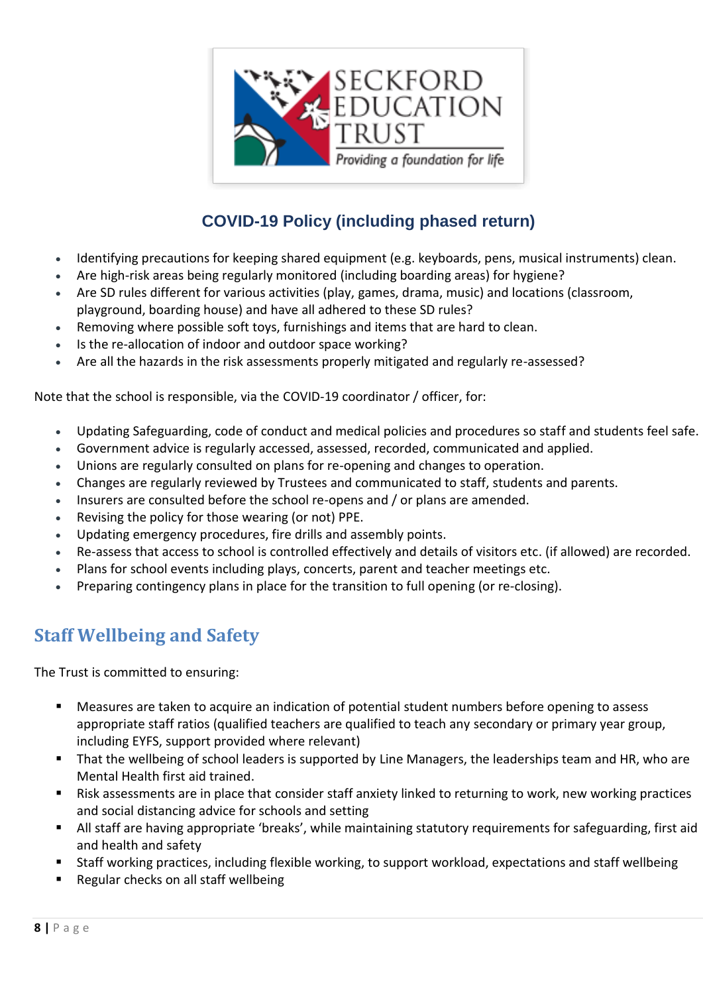

- Identifying precautions for keeping shared equipment (e.g. keyboards, pens, musical instruments) clean.
- Are high-risk areas being regularly monitored (including boarding areas) for hygiene?
- Are SD rules different for various activities (play, games, drama, music) and locations (classroom, playground, boarding house) and have all adhered to these SD rules?
- Removing where possible soft toys, furnishings and items that are hard to clean.
- Is the re-allocation of indoor and outdoor space working?
- Are all the hazards in the risk assessments properly mitigated and regularly re-assessed?

Note that the school is responsible, via the COVID-19 coordinator / officer, for:

- Updating Safeguarding, code of conduct and medical policies and procedures so staff and students feel safe.
- Government advice is regularly accessed, assessed, recorded, communicated and applied.
- Unions are regularly consulted on plans for re-opening and changes to operation.
- Changes are regularly reviewed by Trustees and communicated to staff, students and parents.
- Insurers are consulted before the school re-opens and / or plans are amended.
- Revising the policy for those wearing (or not) PPE.
- Updating emergency procedures, fire drills and assembly points.
- Re-assess that access to school is controlled effectively and details of visitors etc. (if allowed) are recorded.
- Plans for school events including plays, concerts, parent and teacher meetings etc.
- Preparing contingency plans in place for the transition to full opening (or re-closing).

### <span id="page-7-0"></span>**Staff Wellbeing and Safety**

The Trust is committed to ensuring:

- Measures are taken to acquire an indication of potential student numbers before opening to assess appropriate staff ratios (qualified teachers are qualified to teach any secondary or primary year group, including EYFS, support provided where relevant)
- That the wellbeing of school leaders is supported by Line Managers, the leaderships team and HR, who are Mental Health first aid trained.
- Risk assessments are in place that consider staff anxiety linked to returning to work, new working practices and social distancing advice for schools and setting
- All staff are having appropriate 'breaks', while maintaining statutory requirements for safeguarding, first aid and health and safety
- Staff working practices, including flexible working, to support workload, expectations and staff wellbeing
- Regular checks on all staff wellbeing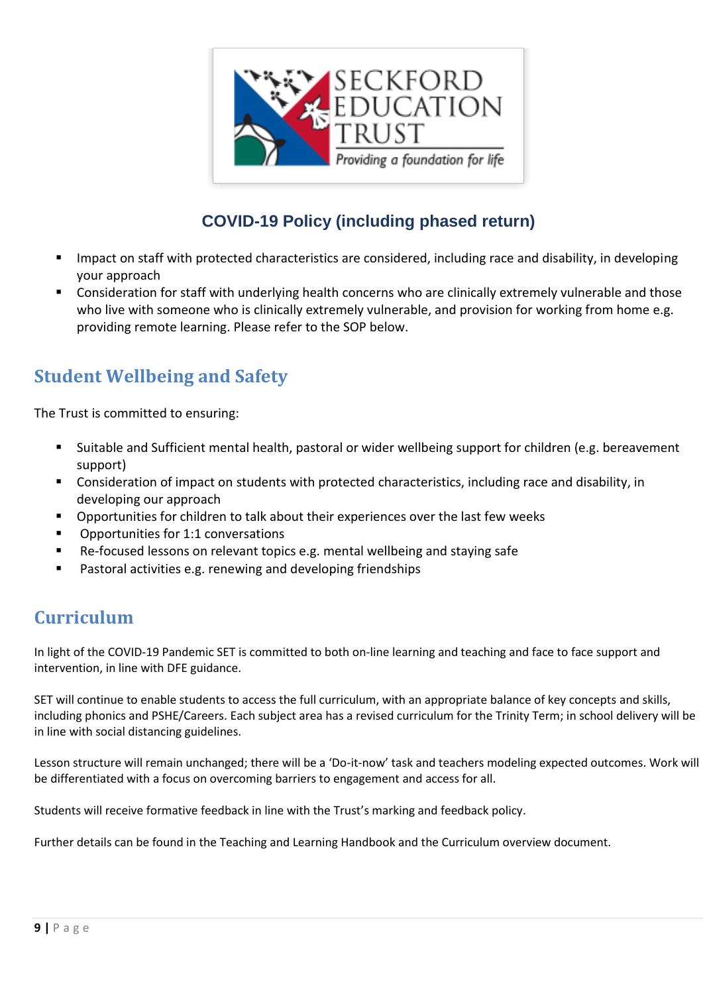

- Impact on staff with protected characteristics are considered, including race and disability, in developing your approach
- Consideration for staff with underlying health concerns who are clinically extremely vulnerable and those who live with someone who is clinically extremely vulnerable, and provision for working from home e.g. providing remote learning. Please refer to the SOP below.

## <span id="page-8-0"></span>**Student Wellbeing and Safety**

The Trust is committed to ensuring:

- Suitable and Sufficient mental health, pastoral or wider wellbeing support for children (e.g. bereavement support)
- **Consideration of impact on students with protected characteristics, including race and disability, in** developing our approach
- Opportunities for children to talk about their experiences over the last few weeks
- Opportunities for 1:1 conversations
- Re-focused lessons on relevant topics e.g. mental wellbeing and staying safe
- Pastoral activities e.g. renewing and developing friendships

## <span id="page-8-1"></span>**Curriculum**

In light of the COVID-19 Pandemic SET is committed to both on-line learning and teaching and face to face support and intervention, in line with DFE guidance.

SET will continue to enable students to access the full curriculum, with an appropriate balance of key concepts and skills, including phonics and PSHE/Careers. Each subject area has a revised curriculum for the Trinity Term; in school delivery will be in line with social distancing guidelines.

Lesson structure will remain unchanged; there will be a 'Do-it-now' task and teachers modeling expected outcomes. Work will be differentiated with a focus on overcoming barriers to engagement and access for all.

Students will receive formative feedback in line with the Trust's marking and feedback policy.

Further details can be found in the Teaching and Learning Handbook and the Curriculum overview document.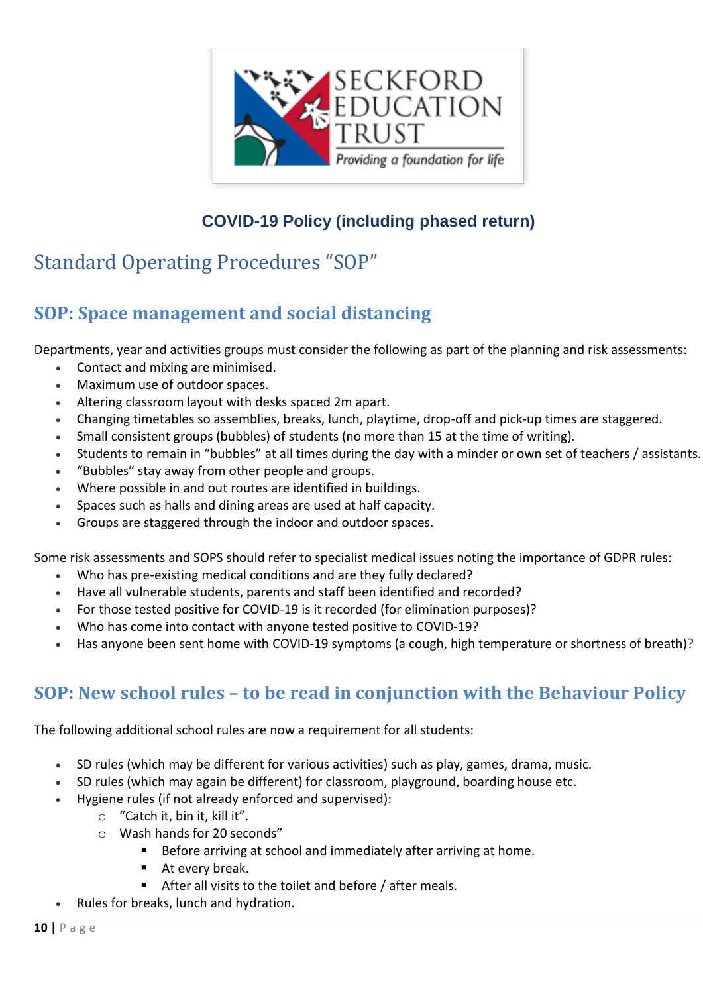

# <span id="page-9-0"></span>Standard Operating Procedures "SOP"

## <span id="page-9-1"></span>**SOP: Space management and social distancing**

Departments, year and activities groups must consider the following as part of the planning and risk assessments:

- Contact and mixing are minimised.
- Maximum use of outdoor spaces.
- Altering classroom layout with desks spaced 2m apart.
- Changing timetables so assemblies, breaks, lunch, playtime, drop-off and pick-up times are staggered.
- Small consistent groups (bubbles) of students (no more than 15 at the time of writing).
- Students to remain in "bubbles" at all times during the day with a minder or own set of teachers / assistants.
- "Bubbles" stay away from other people and groups.
- Where possible in and out routes are identified in buildings.
- Spaces such as halls and dining areas are used at half capacity.
- Groups are staggered through the indoor and outdoor spaces.

Some risk assessments and SOPS should refer to specialist medical issues noting the importance of GDPR rules:

- Who has pre-existing medical conditions and are they fully declared?
- Have all vulnerable students, parents and staff been identified and recorded?
- For those tested positive for COVID-19 is it recorded (for elimination purposes)?
- Who has come into contact with anyone tested positive to COVID-19?
- Has anyone been sent home with COVID-19 symptoms (a cough, high temperature or shortness of breath)?

## <span id="page-9-2"></span>**SOP: New school rules – to be read in conjunction with the Behaviour Policy**

The following additional school rules are now a requirement for all students:

- SD rules (which may be different for various activities) such as play, games, drama, music.
- SD rules (which may again be different) for classroom, playground, boarding house etc.
- Hygiene rules (if not already enforced and supervised):
	- o "Catch it, bin it, kill it".
	- o Wash hands for 20 seconds"
		- Before arriving at school and immediately after arriving at home.
		- At every break.
		- After all visits to the toilet and before / after meals.
- Rules for breaks, lunch and hydration.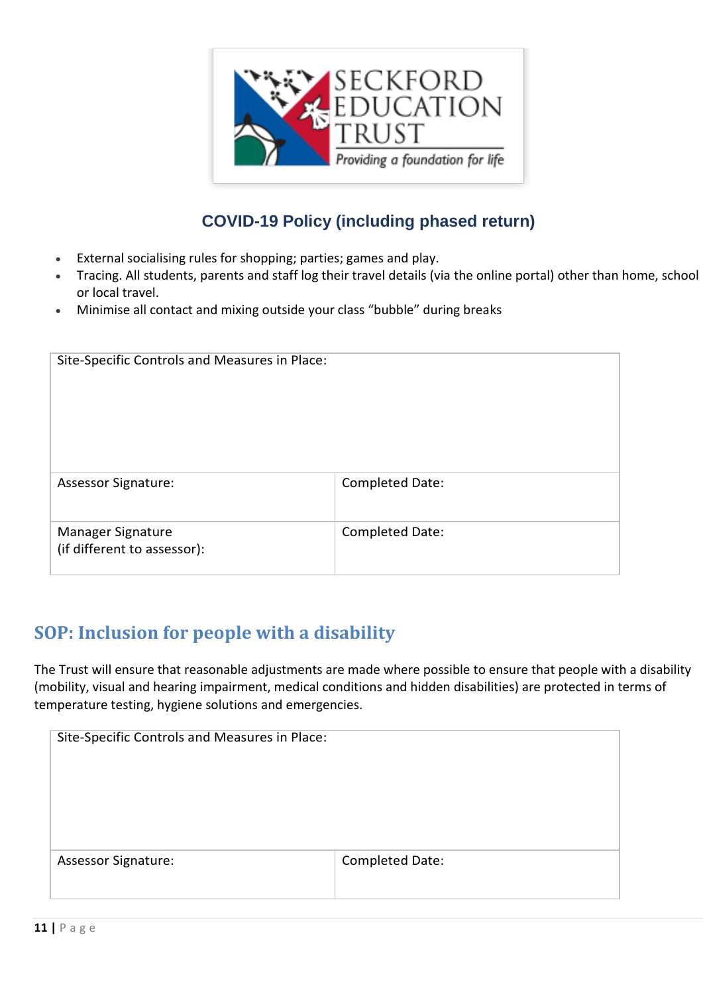

- External socialising rules for shopping; parties; games and play.
- Tracing. All students, parents and staff log their travel details (via the online portal) other than home, school or local travel.
- Minimise all contact and mixing outside your class "bubble" during breaks

| Site-Specific Controls and Measures in Place:    |                 |  |
|--------------------------------------------------|-----------------|--|
| <b>Assessor Signature:</b>                       | Completed Date: |  |
| Manager Signature<br>(if different to assessor): | Completed Date: |  |

## <span id="page-10-0"></span>**SOP: Inclusion for people with a disability**

The Trust will ensure that reasonable adjustments are made where possible to ensure that people with a disability (mobility, visual and hearing impairment, medical conditions and hidden disabilities) are protected in terms of temperature testing, hygiene solutions and emergencies.

| Site-Specific Controls and Measures in Place: |                 |  |
|-----------------------------------------------|-----------------|--|
|                                               |                 |  |
|                                               |                 |  |
|                                               |                 |  |
| <b>Assessor Signature:</b>                    | Completed Date: |  |
|                                               |                 |  |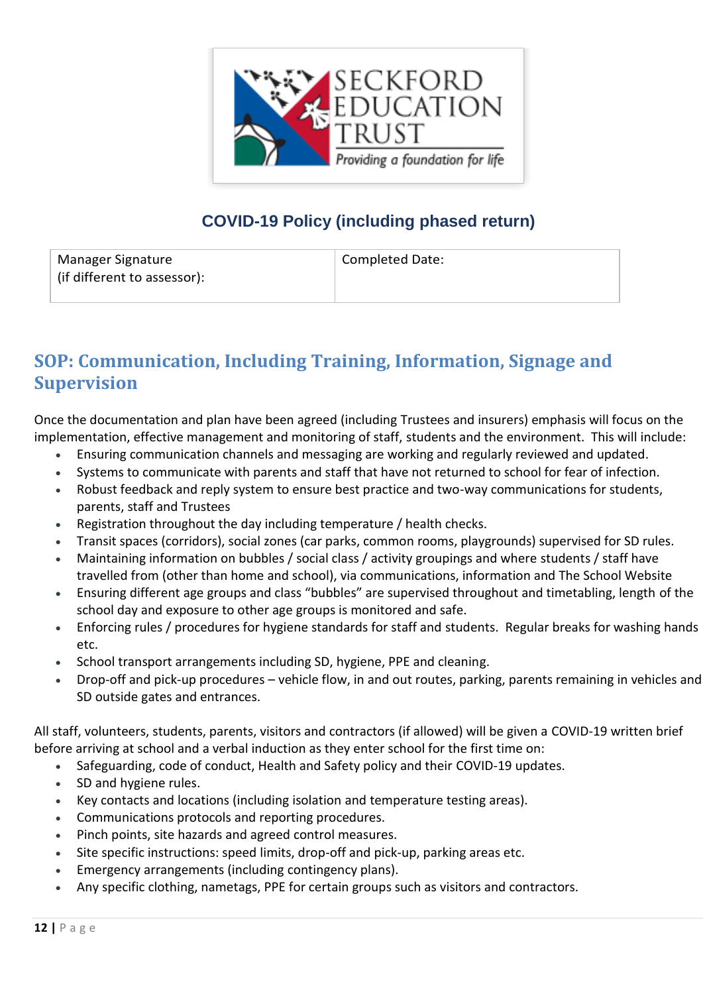

| Manager Signature           | <b>Completed Date:</b> |
|-----------------------------|------------------------|
| (if different to assessor): |                        |
|                             |                        |

## <span id="page-11-0"></span>**SOP: Communication, Including Training, Information, Signage and Supervision**

Once the documentation and plan have been agreed (including Trustees and insurers) emphasis will focus on the implementation, effective management and monitoring of staff, students and the environment. This will include:

- Ensuring communication channels and messaging are working and regularly reviewed and updated.
- Systems to communicate with parents and staff that have not returned to school for fear of infection.
- Robust feedback and reply system to ensure best practice and two-way communications for students, parents, staff and Trustees
- Registration throughout the day including temperature / health checks.
- Transit spaces (corridors), social zones (car parks, common rooms, playgrounds) supervised for SD rules.
- Maintaining information on bubbles / social class / activity groupings and where students / staff have travelled from (other than home and school), via communications, information and The School Website
- Ensuring different age groups and class "bubbles" are supervised throughout and timetabling, length of the school day and exposure to other age groups is monitored and safe.
- Enforcing rules / procedures for hygiene standards for staff and students. Regular breaks for washing hands etc.
- School transport arrangements including SD, hygiene, PPE and cleaning.
- Drop-off and pick-up procedures vehicle flow, in and out routes, parking, parents remaining in vehicles and SD outside gates and entrances.

All staff, volunteers, students, parents, visitors and contractors (if allowed) will be given a COVID-19 written brief before arriving at school and a verbal induction as they enter school for the first time on:

- Safeguarding, code of conduct, Health and Safety policy and their COVID-19 updates.
- SD and hygiene rules.
- Key contacts and locations (including isolation and temperature testing areas).
- Communications protocols and reporting procedures.
- Pinch points, site hazards and agreed control measures.
- Site specific instructions: speed limits, drop-off and pick-up, parking areas etc.
- Emergency arrangements (including contingency plans).
- Any specific clothing, nametags, PPE for certain groups such as visitors and contractors.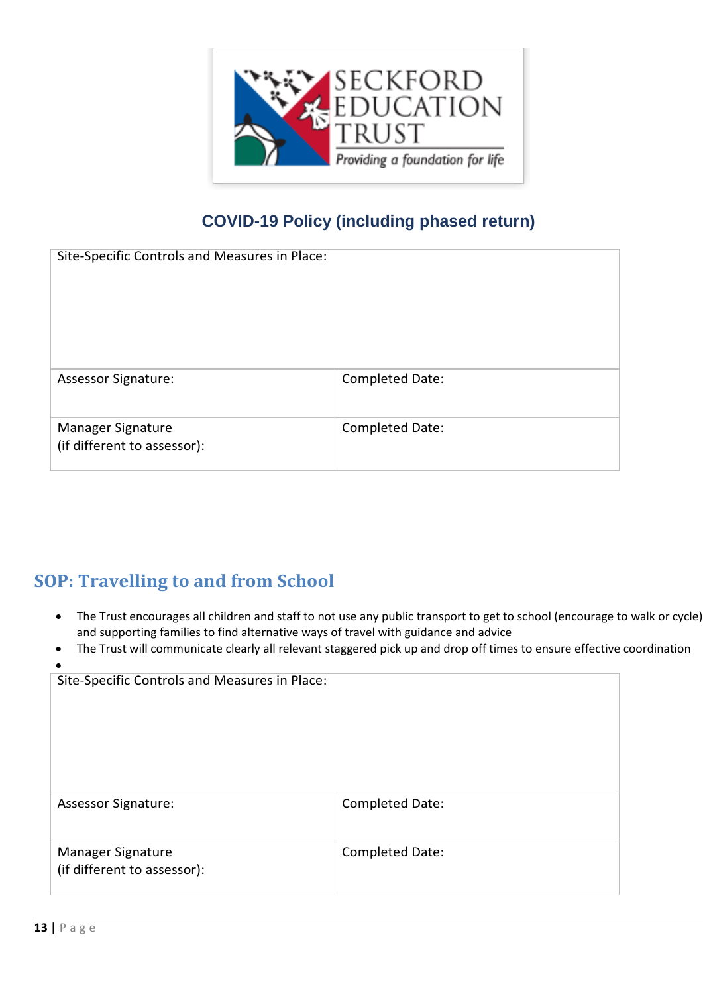

| Site-Specific Controls and Measures in Place:    |                 |  |
|--------------------------------------------------|-----------------|--|
| <b>Assessor Signature:</b>                       | Completed Date: |  |
| Manager Signature<br>(if different to assessor): | Completed Date: |  |

## <span id="page-12-0"></span>**SOP: Travelling to and from School**

- The Trust encourages all children and staff to not use any public transport to get to school (encourage to walk or cycle) and supporting families to find alternative ways of travel with guidance and advice
- The Trust will communicate clearly all relevant staggered pick up and drop off times to ensure effective coordination

| Site-Specific Controls and Measures in Place:    |                 |  |  |
|--------------------------------------------------|-----------------|--|--|
| <b>Assessor Signature:</b>                       | Completed Date: |  |  |
| Manager Signature<br>(if different to assessor): | Completed Date: |  |  |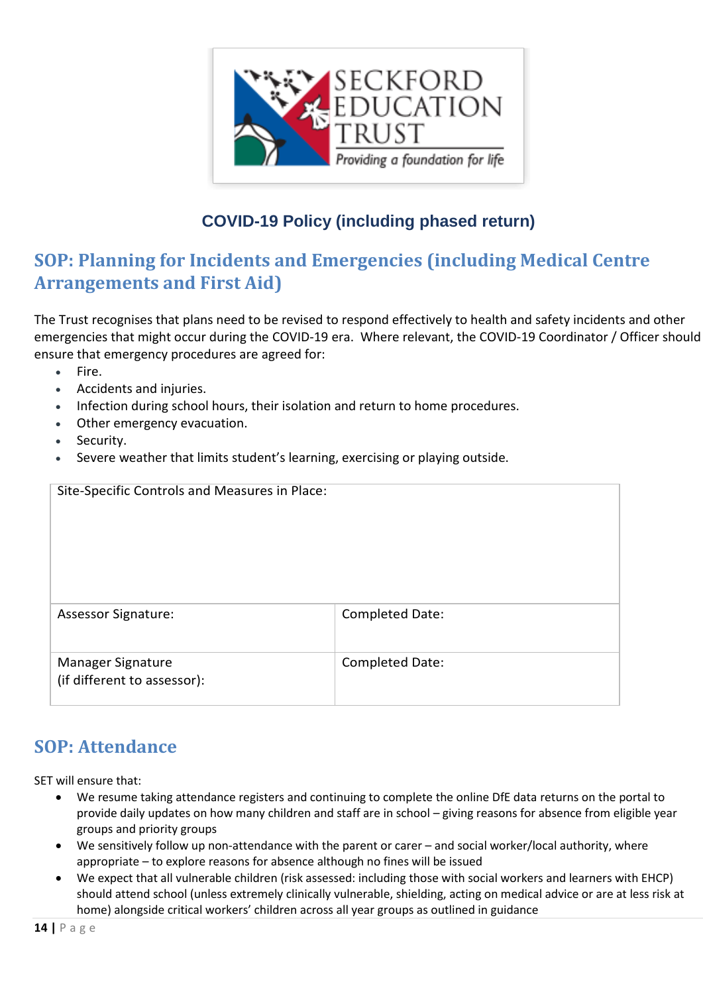

## <span id="page-13-0"></span>**SOP: Planning for Incidents and Emergencies (including Medical Centre Arrangements and First Aid)**

The Trust recognises that plans need to be revised to respond effectively to health and safety incidents and other emergencies that might occur during the COVID-19 era. Where relevant, the COVID-19 Coordinator / Officer should ensure that emergency procedures are agreed for:

- $\bullet$  Fire.
- Accidents and injuries.
- Infection during school hours, their isolation and return to home procedures.
- Other emergency evacuation.
- Security.
- Severe weather that limits student's learning, exercising or playing outside.

| Site-Specific Controls and Measures in Place:    |                 |  |  |
|--------------------------------------------------|-----------------|--|--|
| <b>Assessor Signature:</b>                       | Completed Date: |  |  |
| Manager Signature<br>(if different to assessor): | Completed Date: |  |  |

### <span id="page-13-1"></span>**SOP: Attendance**

SET will ensure that:

- We resume taking attendance registers and continuing to complete the online DfE data returns on the portal to provide daily updates on how many children and staff are in school – giving reasons for absence from eligible year groups and priority groups
- We sensitively follow up non-attendance with the parent or carer and social worker/local authority, where appropriate – to explore reasons for absence although no fines will be issued
- We expect that all vulnerable children (risk assessed: including those with social workers and learners with EHCP) should attend school (unless extremely clinically vulnerable, shielding, acting on medical advice or are at less risk at home) alongside critical workers' children across all year groups as outlined in guidance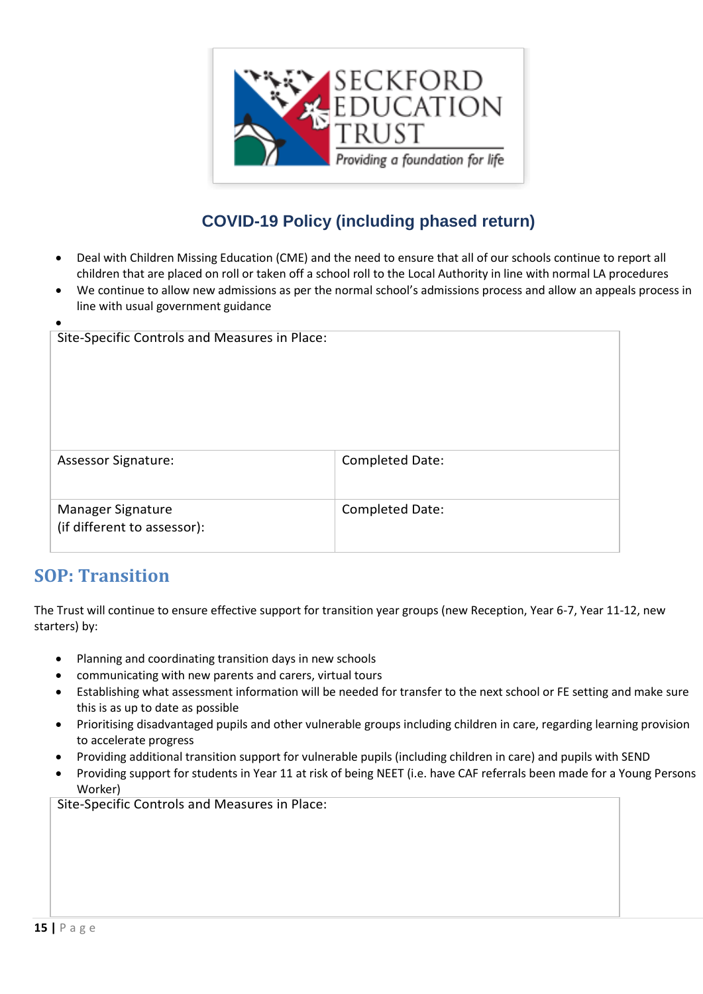

- Deal with Children Missing Education (CME) and the need to ensure that all of our schools continue to report all children that are placed on roll or taken off a school roll to the Local Authority in line with normal LA procedures
- We continue to allow new admissions as per the normal school's admissions process and allow an appeals process in line with usual government guidance

| Site-Specific Controls and Measures in Place:    |                 |
|--------------------------------------------------|-----------------|
| <b>Assessor Signature:</b>                       | Completed Date: |
| Manager Signature<br>(if different to assessor): | Completed Date: |

#### <span id="page-14-0"></span>**SOP: Transition**

The Trust will continue to ensure effective support for transition year groups (new Reception, Year 6-7, Year 11-12, new starters) by:

- Planning and coordinating transition days in new schools
- communicating with new parents and carers, virtual tours
- Establishing what assessment information will be needed for transfer to the next school or FE setting and make sure this is as up to date as possible
- Prioritising disadvantaged pupils and other vulnerable groups including children in care, regarding learning provision to accelerate progress
- Providing additional transition support for vulnerable pupils (including children in care) and pupils with SEND
- Providing support for students in Year 11 at risk of being NEET (i.e. have CAF referrals been made for a Young Persons Worker)

Site-Specific Controls and Measures in Place: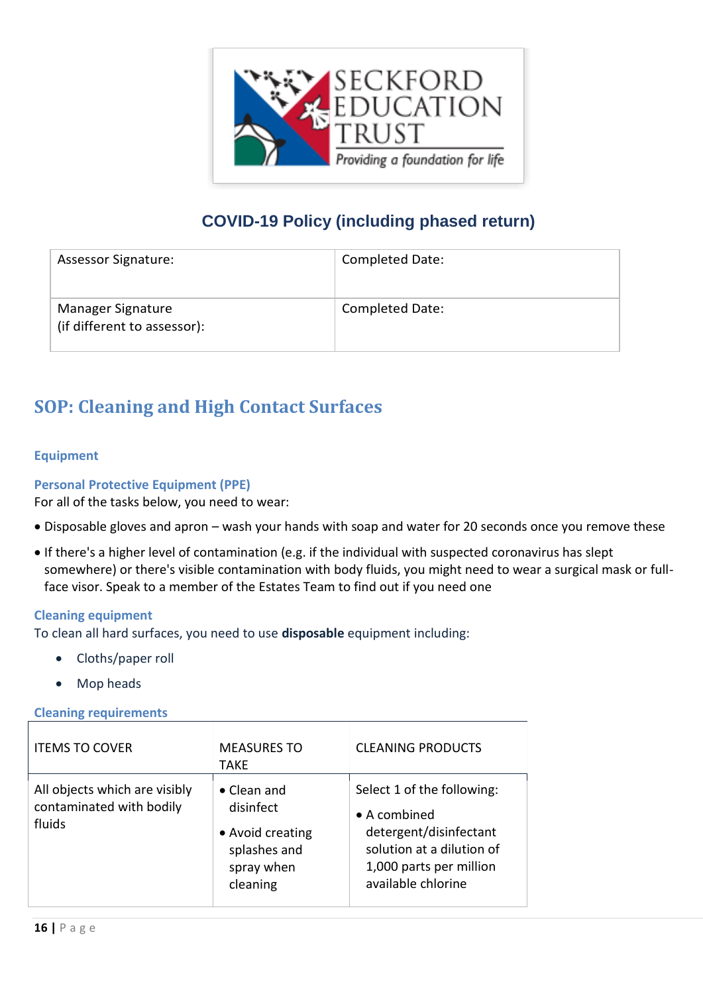

| <b>Assessor Signature:</b>                       | <b>Completed Date:</b> |
|--------------------------------------------------|------------------------|
| Manager Signature<br>(if different to assessor): | <b>Completed Date:</b> |

## <span id="page-15-0"></span>**SOP: Cleaning and High Contact Surfaces**

#### <span id="page-15-1"></span>**Equipment**

#### <span id="page-15-2"></span>**Personal Protective Equipment (PPE)**

For all of the tasks below, you need to wear:

- Disposable gloves and apron wash your hands with soap and water for 20 seconds once you remove these
- If there's a higher level of contamination (e.g. if the individual with suspected coronavirus has slept somewhere) or there's visible contamination with body fluids, you might need to wear a surgical mask or fullface visor. Speak to a member of the Estates Team to find out if you need one

#### <span id="page-15-3"></span>**Cleaning equipment**

To clean all hard surfaces, you need to use **disposable** equipment including:

- Cloths/paper roll
- Mop heads

#### <span id="page-15-4"></span>**Cleaning requirements**

| <b>ITEMS TO COVER</b>                                               | <b>MEASURES TO</b><br><b>TAKE</b>                                                              | <b>CLEANING PRODUCTS</b>                                                                                                                                   |
|---------------------------------------------------------------------|------------------------------------------------------------------------------------------------|------------------------------------------------------------------------------------------------------------------------------------------------------------|
| All objects which are visibly<br>contaminated with bodily<br>fluids | $\bullet$ Clean and<br>disinfect<br>• Avoid creating<br>splashes and<br>spray when<br>cleaning | Select 1 of the following:<br>$\bullet$ A combined<br>detergent/disinfectant<br>solution at a dilution of<br>1,000 parts per million<br>available chlorine |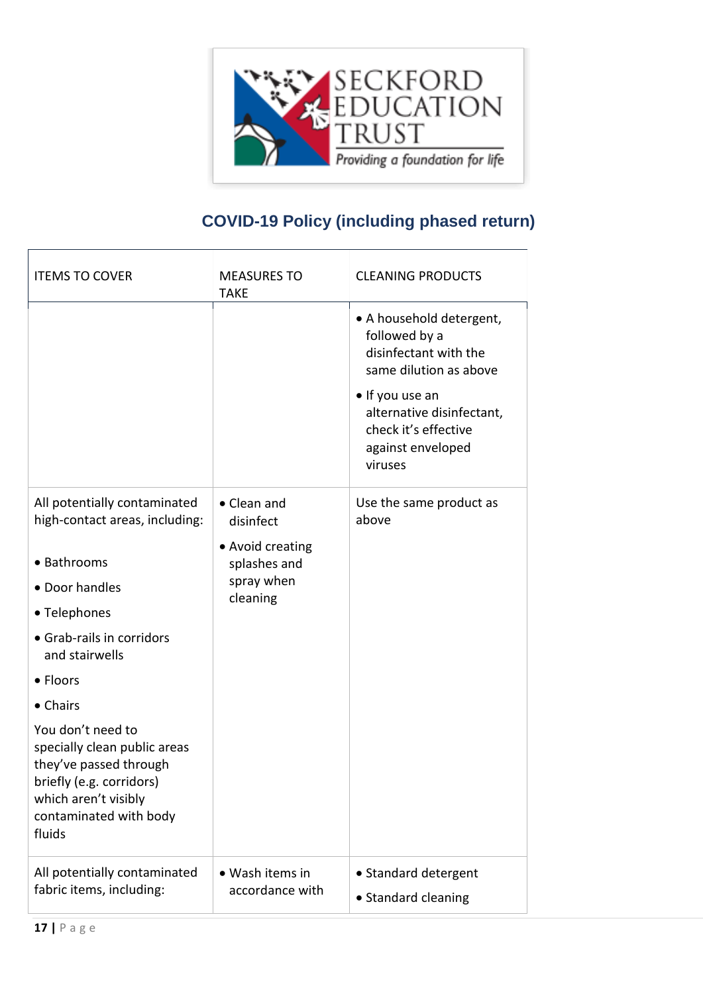

| <b>ITEMS TO COVER</b>                                                                                                                                               | <b>MEASURES TO</b><br><b>TAKE</b>  | <b>CLEANING PRODUCTS</b>                                                                             |
|---------------------------------------------------------------------------------------------------------------------------------------------------------------------|------------------------------------|------------------------------------------------------------------------------------------------------|
|                                                                                                                                                                     |                                    | • A household detergent,<br>followed by a<br>disinfectant with the<br>same dilution as above         |
|                                                                                                                                                                     |                                    | • If you use an<br>alternative disinfectant,<br>check it's effective<br>against enveloped<br>viruses |
| All potentially contaminated<br>high-contact areas, including:                                                                                                      | • Clean and<br>disinfect           | Use the same product as<br>above                                                                     |
| • Bathrooms                                                                                                                                                         | • Avoid creating                   |                                                                                                      |
|                                                                                                                                                                     | splashes and<br>spray when         |                                                                                                      |
| • Door handles                                                                                                                                                      | cleaning                           |                                                                                                      |
| • Telephones                                                                                                                                                        |                                    |                                                                                                      |
| • Grab-rails in corridors<br>and stairwells                                                                                                                         |                                    |                                                                                                      |
| • Floors                                                                                                                                                            |                                    |                                                                                                      |
| • Chairs                                                                                                                                                            |                                    |                                                                                                      |
| You don't need to<br>specially clean public areas<br>they've passed through<br>briefly (e.g. corridors)<br>which aren't visibly<br>contaminated with body<br>fluids |                                    |                                                                                                      |
| All potentially contaminated<br>fabric items, including:                                                                                                            | • Wash items in<br>accordance with | • Standard detergent<br>• Standard cleaning                                                          |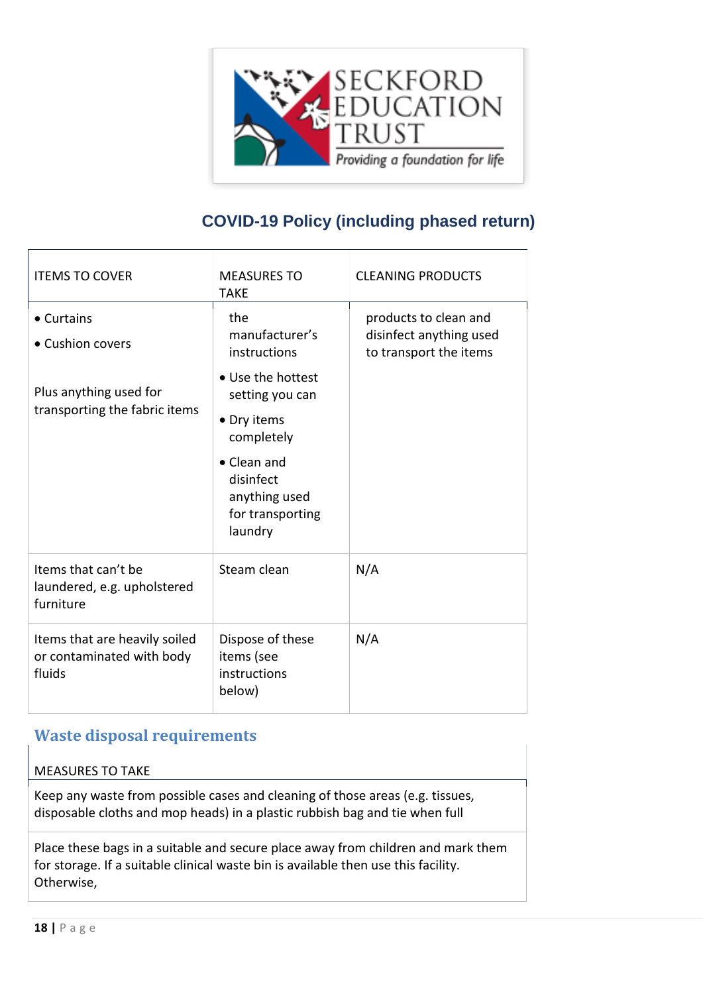

| <b>ITEMS TO COVER</b>                                                | <b>MEASURES TO</b><br><b>TAKE</b>                                        | <b>CLEANING PRODUCTS</b>                                                   |
|----------------------------------------------------------------------|--------------------------------------------------------------------------|----------------------------------------------------------------------------|
| • Curtains<br>• Cushion covers                                       | the<br>manufacturer's<br>instructions                                    | products to clean and<br>disinfect anything used<br>to transport the items |
| Plus anything used for                                               | • Use the hottest<br>setting you can                                     |                                                                            |
| transporting the fabric items                                        | • Dry items<br>completely                                                |                                                                            |
|                                                                      | • Clean and<br>disinfect<br>anything used<br>for transporting<br>laundry |                                                                            |
| Items that can't be<br>laundered, e.g. upholstered<br>furniture      | Steam clean                                                              | N/A                                                                        |
| Items that are heavily soiled<br>or contaminated with body<br>fluids | Dispose of these<br>items (see<br>instructions<br>below)                 | N/A                                                                        |

#### <span id="page-17-0"></span>**Waste disposal requirements**

#### MEASURES TO TAKE

Keep any waste from possible cases and cleaning of those areas (e.g. tissues, disposable cloths and mop heads) in a plastic rubbish bag and tie when full

Place these bags in a suitable and secure place away from children and mark them for storage. If a suitable clinical waste bin is available then use this facility. Otherwise,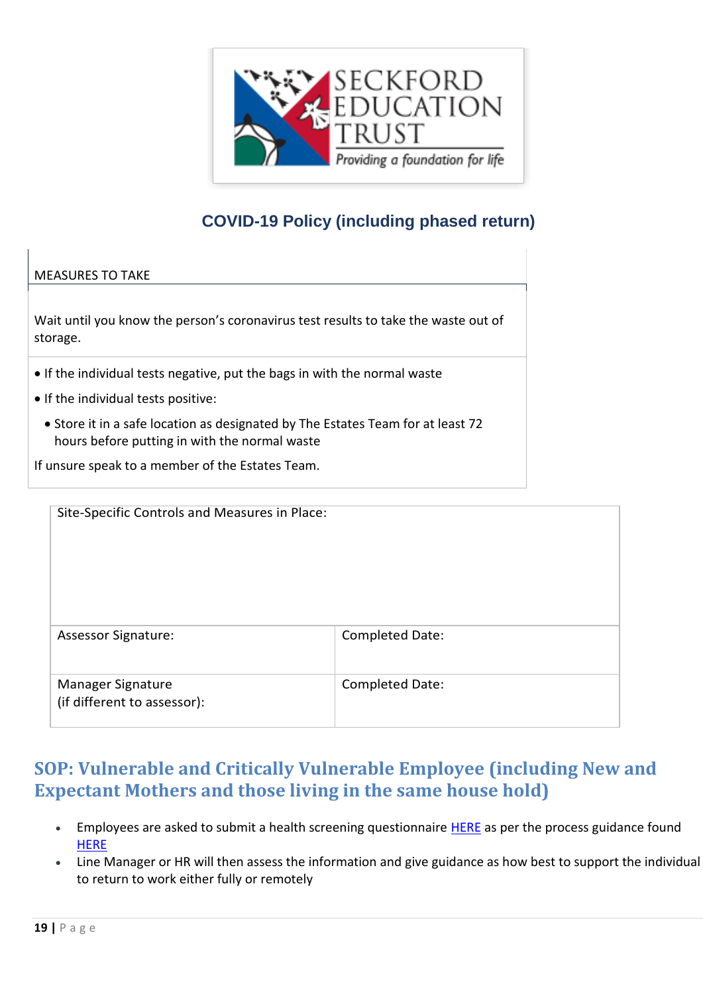

#### MEASURES TO TAKE

Wait until you know the person's coronavirus test results to take the waste out of storage.

- If the individual tests negative, put the bags in with the normal waste
- If the individual tests positive:
	- Store it in a safe location as designated by The Estates Team for at least 72 hours before putting in with the normal waste

If unsure speak to a member of the Estates Team.

| Site-Specific Controls and Measures in Place:    |                 |
|--------------------------------------------------|-----------------|
|                                                  |                 |
| <b>Assessor Signature:</b>                       | Completed Date: |
| Manager Signature<br>(if different to assessor): | Completed Date: |

## <span id="page-18-0"></span>**SOP: Vulnerable and Critically Vulnerable Employee (including New and Expectant Mothers and those living in the same house hold)**

- **Employees are asked to submit a health screening questionnaire [HERE](https://app.smartsheet.com/b/form/4c084fea84d04376979b5ccf4164f05f) as per the process guidance found [HERE](file:///C:/Users/wbowman/OneDrive%20-%20Woodbridge%20School%20Email/ALL%20ESNEFT%20Risk%20assessment%20for%20staff%20health%20COVID-19%20v11%2029%20April%202020%20VF%20process%20notes%20V3.pdf)**
- Line Manager or HR will then assess the information and give guidance as how best to support the individual to return to work either fully or remotely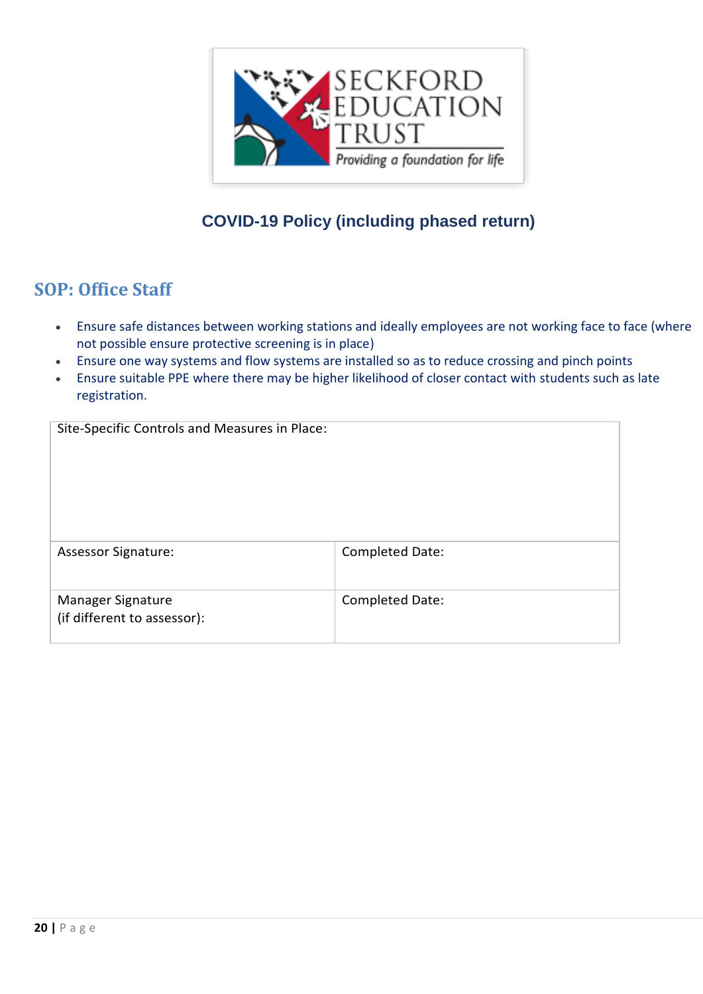

## <span id="page-19-0"></span>**SOP: Office Staff**

- Ensure safe distances between working stations and ideally employees are not working face to face (where not possible ensure protective screening is in place)
- Ensure one way systems and flow systems are installed so as to reduce crossing and pinch points
- Ensure suitable PPE where there may be higher likelihood of closer contact with students such as late registration.

| Site-Specific Controls and Measures in Place:    |                 |
|--------------------------------------------------|-----------------|
| <b>Assessor Signature:</b>                       | Completed Date: |
| Manager Signature<br>(if different to assessor): | Completed Date: |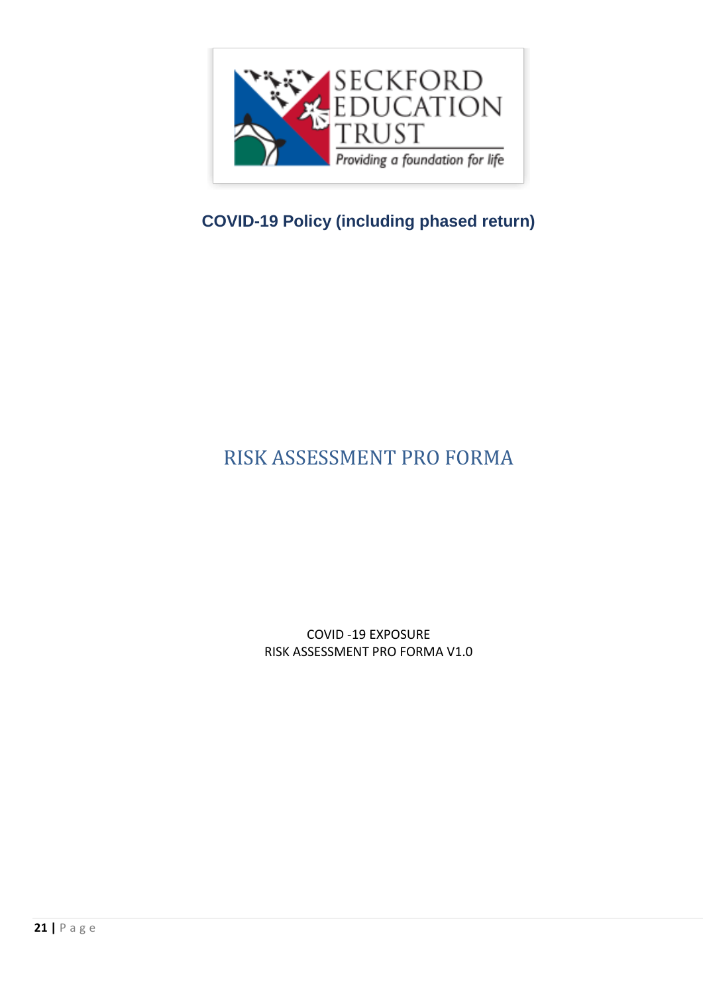

# <span id="page-20-0"></span>RISK ASSESSMENT PRO FORMA

COVID -19 EXPOSURE RISK ASSESSMENT PRO FORMA V1.0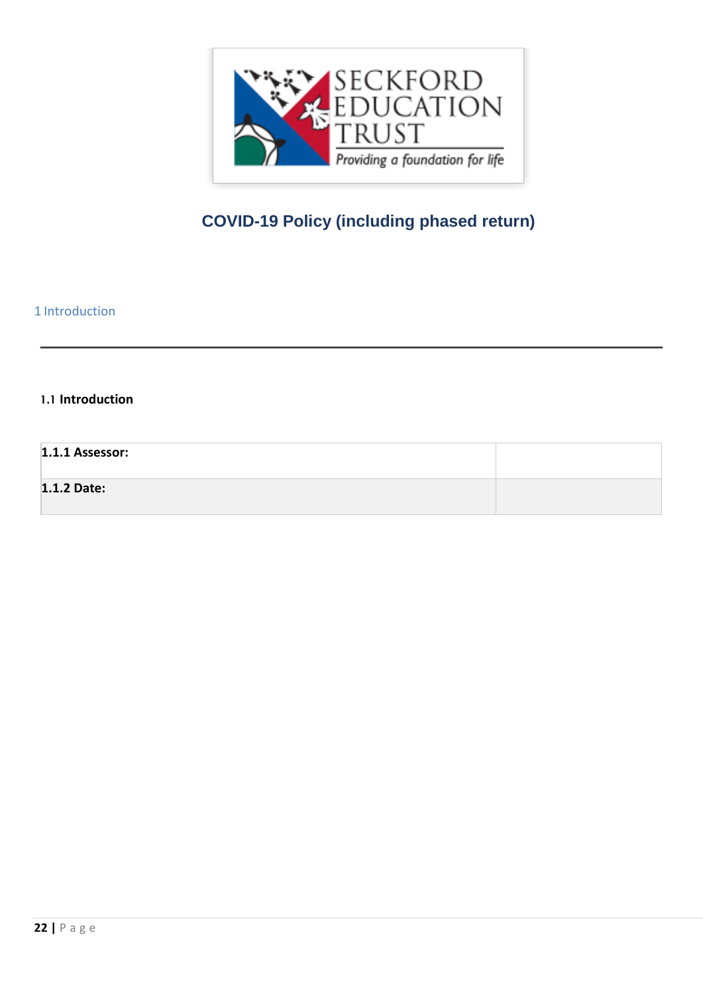

<span id="page-21-0"></span>1 Introduction

#### **1.1 Introduction**

#### **1.1.1 Assessor:**

#### **1.1.2 Date:**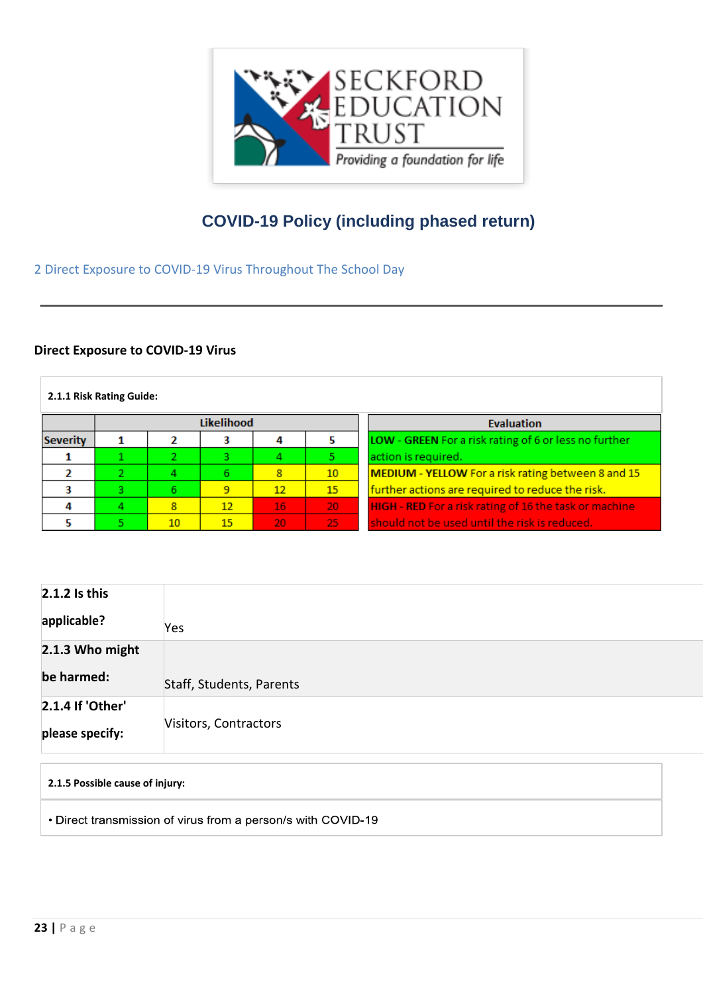

<span id="page-22-0"></span>2 Direct Exposure to COVID-19 Virus Throughout The School Day

#### **Direct Exposure to COVID-19 Virus**

#### **2.1.1 Risk Rating Guide:**

| Likelihood      |    |    |    |                 | <b>Evaluation</b> |                                                        |
|-----------------|----|----|----|-----------------|-------------------|--------------------------------------------------------|
| <b>Severity</b> |    |    |    |                 |                   | LOW - GREEN For a risk rating of 6 or less no further  |
|                 |    |    |    |                 |                   | action is required.                                    |
|                 |    |    | 6  | 8               | 10                | MEDIUM - YELLOW For a risk rating between 8 and 15     |
|                 | о. |    | 9  | 12              | 15                | further actions are required to reduce the risk.       |
|                 |    | 8  | 12 | 16              | -20               | HIGH - RED For a risk rating of 16 the task or machine |
|                 |    | 10 | 15 | 20 <sub>1</sub> | -25               | should not be used until the risk is reduced.          |

| $2.1.2$ Is this  |                          |
|------------------|--------------------------|
| applicable?      | Yes                      |
| 2.1.3 Who might  |                          |
| be harmed:       | Staff, Students, Parents |
| 2.1.4 If 'Other' |                          |
| please specify:  | Visitors, Contractors    |

**2.1.5 Possible cause of injury:**

• Direct transmission of virus from a person/s with COVID-19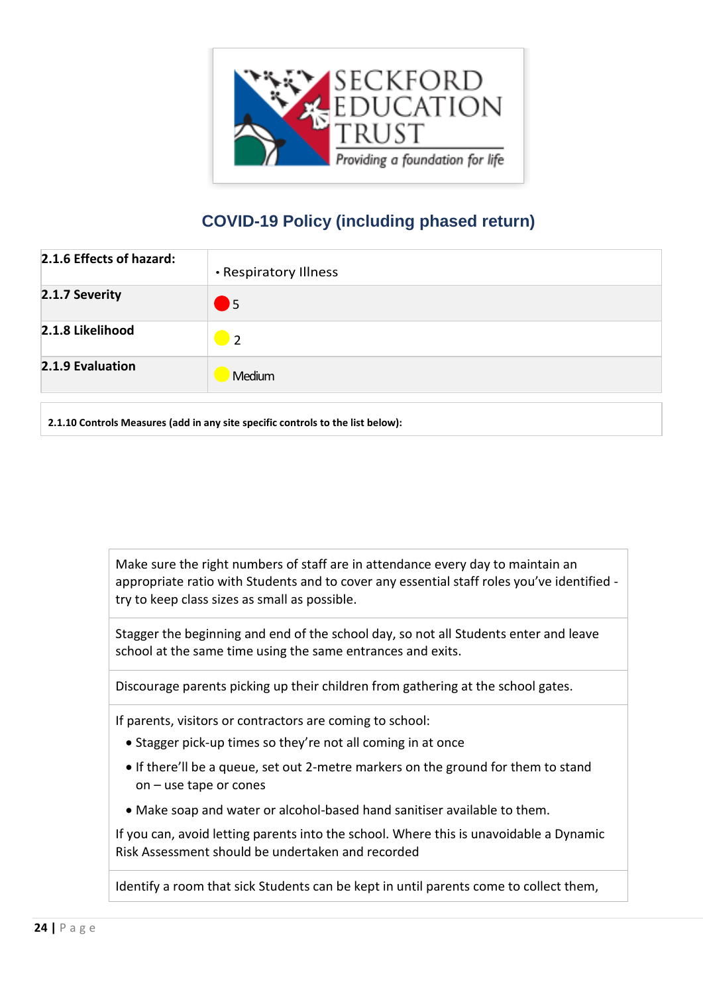

| 2.1.6 Effects of hazard: | • Respiratory Illness      |
|--------------------------|----------------------------|
| 2.1.7 Severity           | $\blacksquare$             |
| 2.1.8 Likelihood         | $\overline{\phantom{0}}$ 2 |
| 2.1.9 Evaluation         | Medium                     |

**2.1.10 Controls Measures (add in any site specific controls to the list below):**

Make sure the right numbers of staff are in attendance every day to maintain an appropriate ratio with Students and to cover any essential staff roles you've identified try to keep class sizes as small as possible.

Stagger the beginning and end of the school day, so not all Students enter and leave school at the same time using the same entrances and exits.

Discourage parents picking up their children from gathering at the school gates.

If parents, visitors or contractors are coming to school:

- Stagger pick-up times so they're not all coming in at once
- If there'll be a queue, set out 2-metre markers on the ground for them to stand on – use tape or cones
- Make soap and water or alcohol-based hand sanitiser available to them.

If you can, avoid letting parents into the school. Where this is unavoidable a Dynamic Risk Assessment should be undertaken and recorded

Identify a room that sick Students can be kept in until parents come to collect them,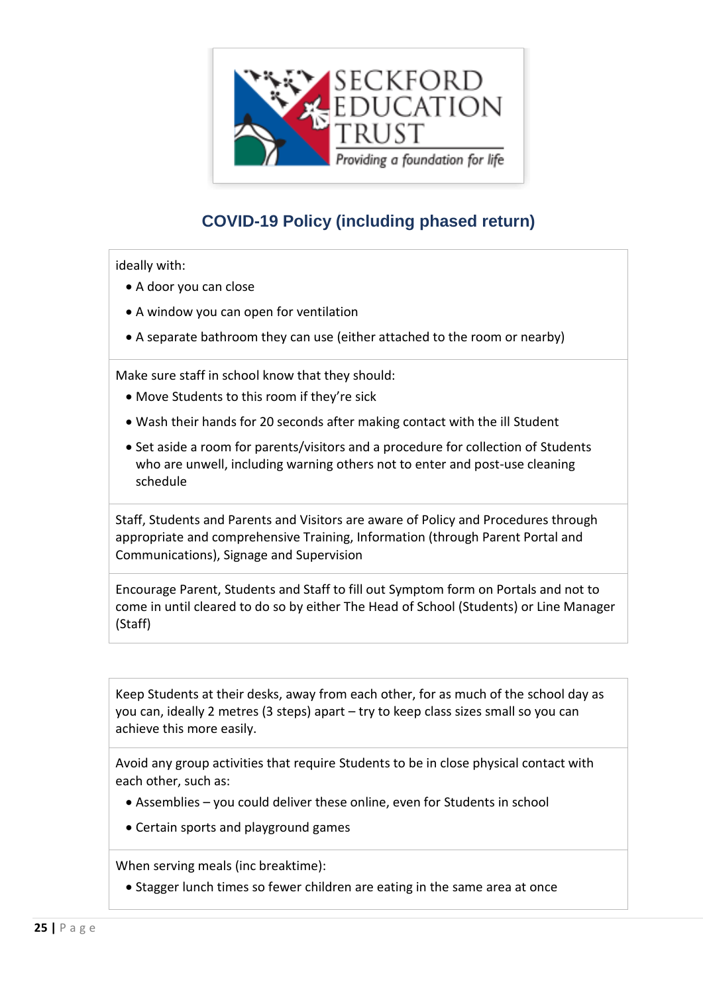

ideally with:

- A door you can close
- A window you can open for ventilation
- A separate bathroom they can use (either attached to the room or nearby)

Make sure staff in school know that they should:

- Move Students to this room if they're sick
- Wash their hands for 20 seconds after making contact with the ill Student
- Set aside a room for parents/visitors and a procedure for collection of Students who are unwell, including warning others not to enter and post-use cleaning schedule

Staff, Students and Parents and Visitors are aware of Policy and Procedures through appropriate and comprehensive Training, Information (through Parent Portal and Communications), Signage and Supervision

Encourage Parent, Students and Staff to fill out Symptom form on Portals and not to come in until cleared to do so by either The Head of School (Students) or Line Manager (Staff)

Keep Students at their desks, away from each other, for as much of the school day as you can, ideally 2 metres (3 steps) apart – try to keep class sizes small so you can achieve this more easily.

Avoid any group activities that require Students to be in close physical contact with each other, such as:

- Assemblies you could deliver these online, even for Students in school
- Certain sports and playground games

When serving meals (inc breaktime):

• Stagger lunch times so fewer children are eating in the same area at once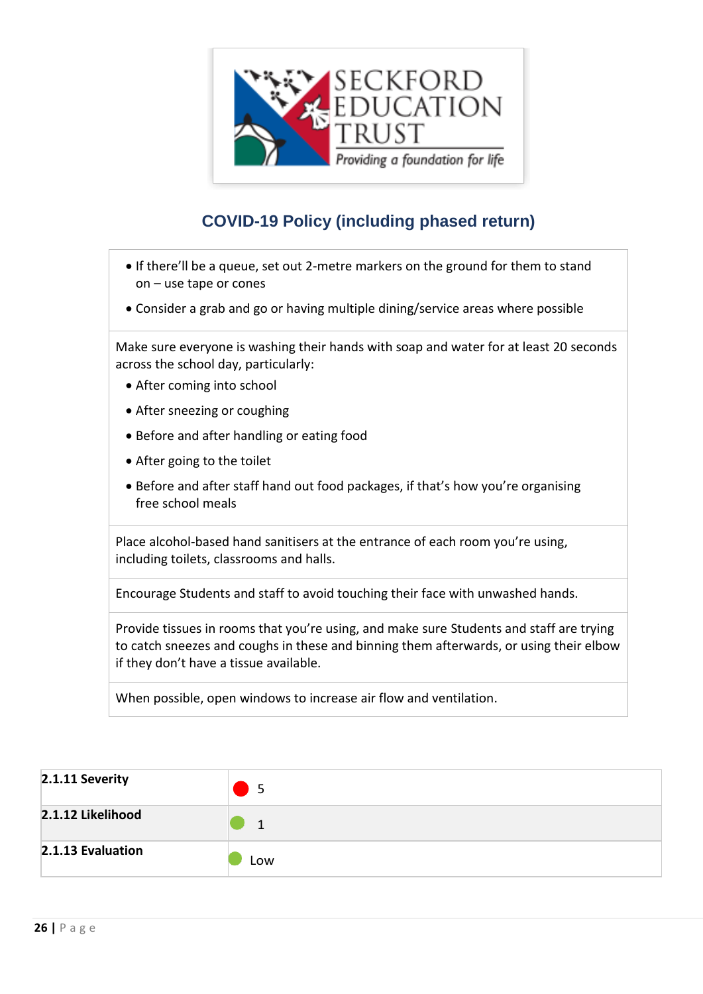

- If there'll be a queue, set out 2-metre markers on the ground for them to stand on – use tape or cones
- Consider a grab and go or having multiple dining/service areas where possible

Make sure everyone is washing their hands with soap and water for at least 20 seconds across the school day, particularly:

- After coming into school
- After sneezing or coughing
- Before and after handling or eating food
- After going to the toilet
- Before and after staff hand out food packages, if that's how you're organising free school meals

Place alcohol-based hand sanitisers at the entrance of each room you're using, including toilets, classrooms and halls.

Encourage Students and staff to avoid touching their face with unwashed hands.

Provide tissues in rooms that you're using, and make sure Students and staff are trying to catch sneezes and coughs in these and binning them afterwards, or using their elbow if they don't have a tissue available.

When possible, open windows to increase air flow and ventilation.

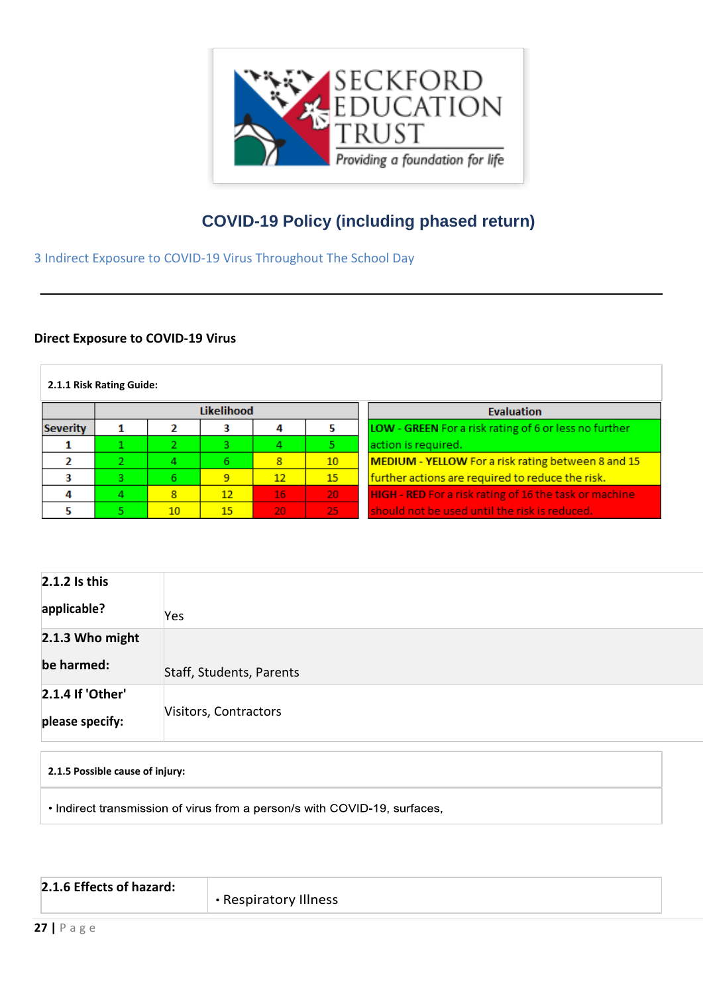

<span id="page-26-0"></span>3 Indirect Exposure to COVID-19 Virus Throughout The School Day

#### **Direct Exposure to COVID-19 Virus**

| 2.1.1 Risk Rating Guide: |    |                 |    |                   |                 |                                                        |
|--------------------------|----|-----------------|----|-------------------|-----------------|--------------------------------------------------------|
| <b>Likelihood</b>        |    |                 |    | <b>Evaluation</b> |                 |                                                        |
| <b>Severity</b>          |    |                 |    | 4                 |                 | LOW - GREEN For a risk rating of 6 or less no further  |
|                          |    | 2.              | э  |                   |                 | action is required.                                    |
|                          |    |                 | 6  | 8                 | 10              | MEDIUM - YELLOW For a risk rating between 8 and 15     |
|                          | э. | 6.              | 9  | 12                | 15              | further actions are required to reduce the risk.       |
|                          |    | 8               | 12 | 16                | 20 <sub>1</sub> | HIGH - RED For a risk rating of 16 the task or machine |
|                          |    | 10 <sup>°</sup> | 15 | 20                | 25              | should not be used until the risk is reduced.          |

| 2.1.2 Is this    |                          |
|------------------|--------------------------|
| applicable?      | Yes                      |
| 2.1.3 Who might  |                          |
| be harmed:       | Staff, Students, Parents |
| 2.1.4 If 'Other' |                          |
| please specify:  | Visitors, Contractors    |

| 2.1.5 Possible cause of injury:                                           |
|---------------------------------------------------------------------------|
| • Indirect transmission of virus from a person/s with COVID-19, surfaces, |

| 2.1.6 Effects of hazard: |                       |
|--------------------------|-----------------------|
|                          |                       |
|                          | • Respiratory Illness |
|                          |                       |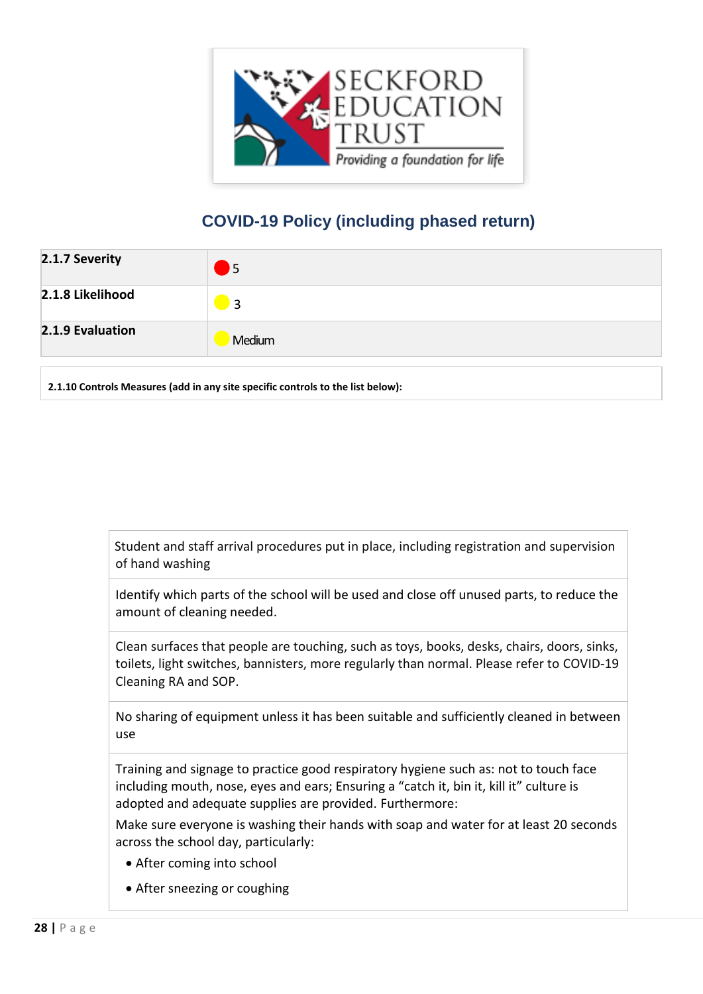

| 2.1.7 Severity   | <b>J</b> 5     |
|------------------|----------------|
| 2.1.8 Likelihood | $\overline{3}$ |
| 2.1.9 Evaluation | Medium         |

**2.1.10 Controls Measures (add in any site specific controls to the list below):**

 Student and staff arrival procedures put in place, including registration and supervision of hand washing

Identify which parts of the school will be used and close off unused parts, to reduce the amount of cleaning needed.

Clean surfaces that people are touching, such as toys, books, desks, chairs, doors, sinks, toilets, light switches, bannisters, more regularly than normal. Please refer to COVID-19 Cleaning RA and SOP.

No sharing of equipment unless it has been suitable and sufficiently cleaned in between use

Training and signage to practice good respiratory hygiene such as: not to touch face including mouth, nose, eyes and ears; Ensuring a "catch it, bin it, kill it" culture is adopted and adequate supplies are provided. Furthermore:

Make sure everyone is washing their hands with soap and water for at least 20 seconds across the school day, particularly:

- After coming into school
- After sneezing or coughing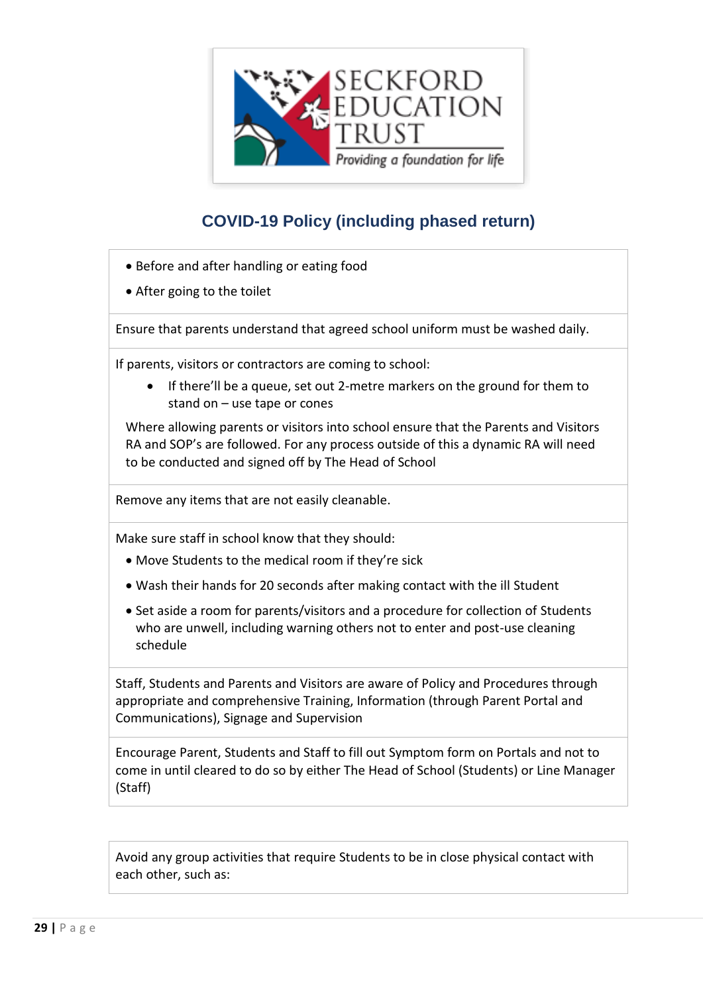

- Before and after handling or eating food
- After going to the toilet

Ensure that parents understand that agreed school uniform must be washed daily.

If parents, visitors or contractors are coming to school:

 If there'll be a queue, set out 2-metre markers on the ground for them to stand on – use tape or cones

Where allowing parents or visitors into school ensure that the Parents and Visitors RA and SOP's are followed. For any process outside of this a dynamic RA will need to be conducted and signed off by The Head of School

Remove any items that are not easily cleanable.

Make sure staff in school know that they should:

- Move Students to the medical room if they're sick
- Wash their hands for 20 seconds after making contact with the ill Student
- Set aside a room for parents/visitors and a procedure for collection of Students who are unwell, including warning others not to enter and post-use cleaning schedule

Staff, Students and Parents and Visitors are aware of Policy and Procedures through appropriate and comprehensive Training, Information (through Parent Portal and Communications), Signage and Supervision

Encourage Parent, Students and Staff to fill out Symptom form on Portals and not to come in until cleared to do so by either The Head of School (Students) or Line Manager (Staff)

Avoid any group activities that require Students to be in close physical contact with each other, such as: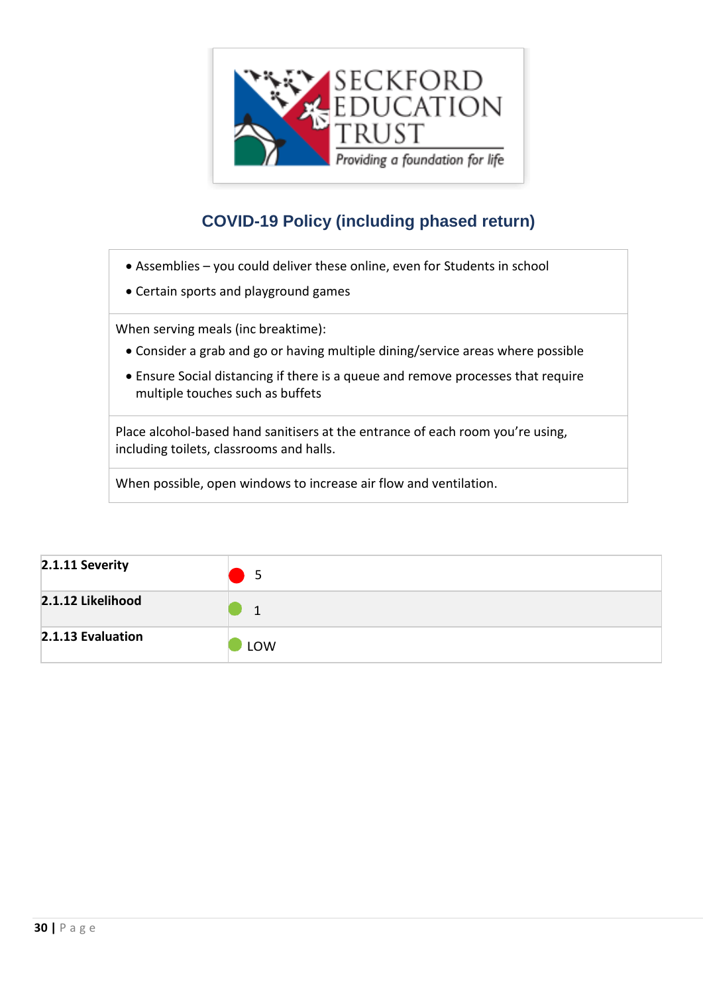

- Assemblies you could deliver these online, even for Students in school
- Certain sports and playground games

When serving meals (inc breaktime):

- Consider a grab and go or having multiple dining/service areas where possible
- Ensure Social distancing if there is a queue and remove processes that require multiple touches such as buffets

Place alcohol-based hand sanitisers at the entrance of each room you're using, including toilets, classrooms and halls.

When possible, open windows to increase air flow and ventilation.

| 2.1.11 Severity   | 5   |
|-------------------|-----|
| 2.1.12 Likelihood | 1   |
| 2.1.13 Evaluation | LOW |